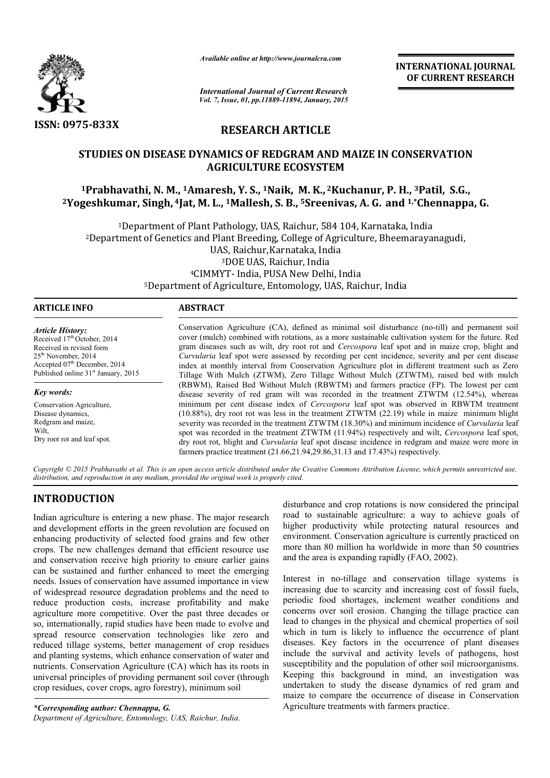

*Available online at http://www.journalcra.com*

# **RESEARCH ARTICLE**

## **STUDIES ON DISEASE DYNAMICS OF REDGRAM AND MAIZE IN CONSERVATION AGRICULTURE ECOSYSTEM**

# **1Prabhavathi, N. M., 1Amaresh Amaresh, Y. S., 1Naik, M. K., 2Kuchanur, P. . H., 3Patil, S.G., 2Yogeshkumar, Singh, 4Jat, M M. L., 1Mallesh, S. B., 5Sreenivas, A. G. and and 1,\*Chennappa, G.**

|                                                                                                                                                                                                                                                                                                                                                                                                                                                                                                                                                                                                                                                                                                                                                                                                                                                                                                                                                                                                                                                                                                                                                     | unuvic viime ui nup.//www.jvurnuicru.com                                                                                                                                                                                                                                                                                                                                                           |                                                                                                             | <b>INTERNATIONAL JOURNAL</b><br>OF CURRENT RESEARCH                                                                                                                                                                                                                                                                                                                                                                                                                                                                                                                                                                                                                                                                                                                                                                                                                                                                                                                                                                                                                                                                                                                                                                                                                                                        |  |  |
|-----------------------------------------------------------------------------------------------------------------------------------------------------------------------------------------------------------------------------------------------------------------------------------------------------------------------------------------------------------------------------------------------------------------------------------------------------------------------------------------------------------------------------------------------------------------------------------------------------------------------------------------------------------------------------------------------------------------------------------------------------------------------------------------------------------------------------------------------------------------------------------------------------------------------------------------------------------------------------------------------------------------------------------------------------------------------------------------------------------------------------------------------------|----------------------------------------------------------------------------------------------------------------------------------------------------------------------------------------------------------------------------------------------------------------------------------------------------------------------------------------------------------------------------------------------------|-------------------------------------------------------------------------------------------------------------|------------------------------------------------------------------------------------------------------------------------------------------------------------------------------------------------------------------------------------------------------------------------------------------------------------------------------------------------------------------------------------------------------------------------------------------------------------------------------------------------------------------------------------------------------------------------------------------------------------------------------------------------------------------------------------------------------------------------------------------------------------------------------------------------------------------------------------------------------------------------------------------------------------------------------------------------------------------------------------------------------------------------------------------------------------------------------------------------------------------------------------------------------------------------------------------------------------------------------------------------------------------------------------------------------------|--|--|
|                                                                                                                                                                                                                                                                                                                                                                                                                                                                                                                                                                                                                                                                                                                                                                                                                                                                                                                                                                                                                                                                                                                                                     | <b>International Journal of Current Research</b><br>Vol. 7, Issue, 01, pp.11889-11894, January, 2015                                                                                                                                                                                                                                                                                               |                                                                                                             |                                                                                                                                                                                                                                                                                                                                                                                                                                                                                                                                                                                                                                                                                                                                                                                                                                                                                                                                                                                                                                                                                                                                                                                                                                                                                                            |  |  |
| <b>ISSN: 0975-833X</b>                                                                                                                                                                                                                                                                                                                                                                                                                                                                                                                                                                                                                                                                                                                                                                                                                                                                                                                                                                                                                                                                                                                              | <b>RESEARCH ARTICLE</b>                                                                                                                                                                                                                                                                                                                                                                            |                                                                                                             |                                                                                                                                                                                                                                                                                                                                                                                                                                                                                                                                                                                                                                                                                                                                                                                                                                                                                                                                                                                                                                                                                                                                                                                                                                                                                                            |  |  |
|                                                                                                                                                                                                                                                                                                                                                                                                                                                                                                                                                                                                                                                                                                                                                                                                                                                                                                                                                                                                                                                                                                                                                     | STUDIES ON DISEASE DYNAMICS OF REDGRAM AND MAIZE IN CONSERVATION<br><b>AGRICULTURE ECOSYSTEM</b>                                                                                                                                                                                                                                                                                                   |                                                                                                             |                                                                                                                                                                                                                                                                                                                                                                                                                                                                                                                                                                                                                                                                                                                                                                                                                                                                                                                                                                                                                                                                                                                                                                                                                                                                                                            |  |  |
|                                                                                                                                                                                                                                                                                                                                                                                                                                                                                                                                                                                                                                                                                                                                                                                                                                                                                                                                                                                                                                                                                                                                                     | <sup>1</sup> Prabhavathi, N. M., <sup>1</sup> Amaresh, Y. S., <sup>1</sup> Naik, M. K., <sup>2</sup> Kuchanur, P. H., <sup>3</sup> Patil, S.G.,<br><sup>2</sup> Yogeshkumar, Singh, <sup>4</sup> Jat, M. L., <sup>1</sup> Mallesh, S. B., <sup>5</sup> Sreenivas, A. G. and <sup>1,*</sup> Chennappa, G.                                                                                           |                                                                                                             |                                                                                                                                                                                                                                                                                                                                                                                                                                                                                                                                                                                                                                                                                                                                                                                                                                                                                                                                                                                                                                                                                                                                                                                                                                                                                                            |  |  |
|                                                                                                                                                                                                                                                                                                                                                                                                                                                                                                                                                                                                                                                                                                                                                                                                                                                                                                                                                                                                                                                                                                                                                     | <sup>1</sup> Department of Plant Pathology, UAS, Raichur, 584 104, Karnataka, India<br><sup>2</sup> Department of Genetics and Plant Breeding, College of Agriculture, Bheemarayanagudi,<br>UAS, Raichur, Karnataka, India<br><sup>3</sup> DOE UAS, Raichur, India<br><sup>4</sup> CIMMYT- India, PUSA New Delhi, India<br><sup>5</sup> Department of Agriculture, Entomology, UAS, Raichur, India |                                                                                                             |                                                                                                                                                                                                                                                                                                                                                                                                                                                                                                                                                                                                                                                                                                                                                                                                                                                                                                                                                                                                                                                                                                                                                                                                                                                                                                            |  |  |
| <b>ARTICLE INFO</b>                                                                                                                                                                                                                                                                                                                                                                                                                                                                                                                                                                                                                                                                                                                                                                                                                                                                                                                                                                                                                                                                                                                                 | <b>ABSTRACT</b>                                                                                                                                                                                                                                                                                                                                                                                    |                                                                                                             |                                                                                                                                                                                                                                                                                                                                                                                                                                                                                                                                                                                                                                                                                                                                                                                                                                                                                                                                                                                                                                                                                                                                                                                                                                                                                                            |  |  |
| <b>Article History:</b><br>Received 17th October, 2014<br>Received in revised form<br>25 <sup>th</sup> November, 2014<br>Accepted 07th December, 2014<br>Published online 31 <sup>st</sup> January, 2015<br>Key words:<br>Conservation Agriculture,<br>Disease dynamics,<br>Redgram and maize,<br>Wilt,<br>Dry root rot and leaf spot.                                                                                                                                                                                                                                                                                                                                                                                                                                                                                                                                                                                                                                                                                                                                                                                                              |                                                                                                                                                                                                                                                                                                                                                                                                    | farmers practice treatment (21.66,21.94,29.86,31.13 and 17.43%) respectively.                               | Conservation Agriculture (CA), defined as minimal soil disturbance (no-till) and permanent soil<br>cover (mulch) combined with rotations, as a more sustainable cultivation system for the future. Red<br>gram diseases such as wilt, dry root rot and Cercospora leaf spot and in maize crop, blight and<br>Curvularia leaf spot were assessed by recording per cent incidence, severity and per cent disease<br>index at monthly interval from Conservation Agriculture plot in different treatment such as Zero<br>Tillage With Mulch (ZTWM), Zero Tillage Without Mulch (ZTWTM), raised bed with mulch<br>(RBWM), Raised Bed Without Mulch (RBWTM) and farmers practice (FP). The lowest per cent<br>disease severity of red gram wilt was recorded in the treatment ZTWTM (12.54%), whereas<br>minimum per cent disease index of Cercospora leaf spot was observed in RBWTM treatment<br>(10.88%), dry root rot was less in the treatment ZTWTM (22.19) while in maize minimum blight<br>severity was recorded in the treatment ZTWTM (18.30%) and minimum incidence of <i>Curvularia</i> leaf<br>spot was recorded in the treatment ZTWTM (11.94%) respectively and wilt, Cercospora leaf spot,<br>dry root rot, blight and Curvularia leaf spot disease incidence in redgram and maize were more in |  |  |
| distribution, and reproduction in any medium, provided the original work is properly cited.                                                                                                                                                                                                                                                                                                                                                                                                                                                                                                                                                                                                                                                                                                                                                                                                                                                                                                                                                                                                                                                         |                                                                                                                                                                                                                                                                                                                                                                                                    |                                                                                                             | Copyright © 2015 Prabhavathi et al. This is an open access article distributed under the Creative Commons Attribution License, which permits unrestricted use,                                                                                                                                                                                                                                                                                                                                                                                                                                                                                                                                                                                                                                                                                                                                                                                                                                                                                                                                                                                                                                                                                                                                             |  |  |
| <b>INTRODUCTION</b><br>Indian agriculture is entering a new phase. The major research<br>and development efforts in the green revolution are focused on<br>enhancing productivity of selected food grains and few other<br>crops. The new challenges demand that efficient resource use<br>and conservation receive high priority to ensure earlier gains<br>can be sustained and further enhanced to meet the emerging<br>needs. Issues of conservation have assumed importance in view<br>of widespread resource degradation problems and the need to<br>reduce production costs, increase profitability and make<br>agriculture more competitive. Over the past three decades or<br>so, internationally, rapid studies have been made to evolve and<br>spread resource conservation technologies like zero and<br>reduced tillage systems, better management of crop residues<br>and planting systems, which enhance conservation of water and<br>nutrients. Conservation Agriculture (CA) which has its roots in<br>universal principles of providing permanent soil cover (through<br>crop residues, cover crops, agro forestry), minimum soil |                                                                                                                                                                                                                                                                                                                                                                                                    | and the area is expanding rapidly (FAO, 2002).                                                              | disturbance and crop rotations is now considered the principal<br>road to sustainable agriculture: a way to achieve goals of<br>higher productivity while protecting natural resources and<br>environment. Conservation agriculture is currently practiced on<br>more than 80 million ha worldwide in more than 50 countries<br>Interest in no-tillage and conservation tillage systems is<br>increasing due to scarcity and increasing cost of fossil fuels,<br>periodic food shortages, inclement weather conditions and<br>concerns over soil erosion. Changing the tillage practice can<br>lead to changes in the physical and chemical properties of soil<br>which in turn is likely to influence the occurrence of plant<br>diseases. Key factors in the occurrence of plant diseases<br>include the survival and activity levels of pathogens, host<br>susceptibility and the population of other soil microorganisms.<br>Keeping this background in mind, an investigation was<br>undertaken to study the disease dynamics of red gram and                                                                                                                                                                                                                                                         |  |  |
| *Corresponding author: Chennappa, G.                                                                                                                                                                                                                                                                                                                                                                                                                                                                                                                                                                                                                                                                                                                                                                                                                                                                                                                                                                                                                                                                                                                |                                                                                                                                                                                                                                                                                                                                                                                                    | maize to compare the occurrence of disease in Conservation<br>Agriculture treatments with farmers practice. |                                                                                                                                                                                                                                                                                                                                                                                                                                                                                                                                                                                                                                                                                                                                                                                                                                                                                                                                                                                                                                                                                                                                                                                                                                                                                                            |  |  |

# **INTRODUCTION**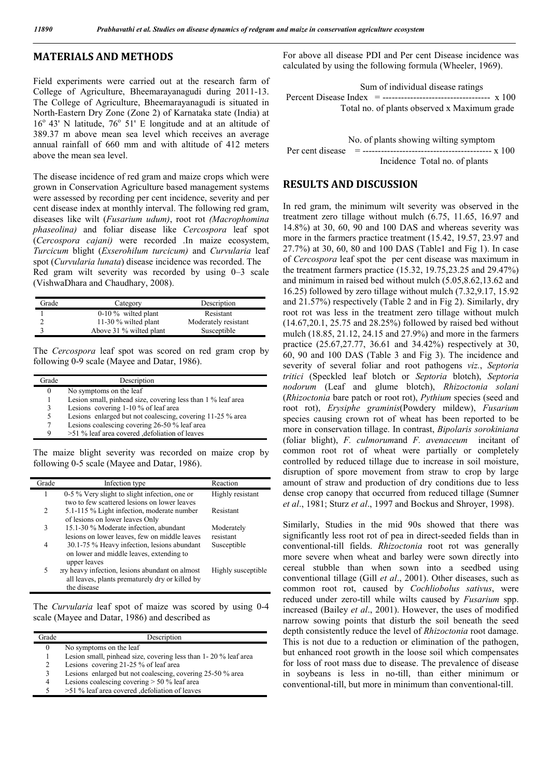### **MATERIALS AND METHODS**

Field experiments were carried out at the research farm of College of Agriculture, Bheemarayanagudi during 2011-13. The College of Agriculture, Bheemarayanagudi is situated in North-Eastern Dry Zone (Zone 2) of Karnataka state (India) at  $16^{\circ}$  43' N latitude,  $76^{\circ}$  51' E longitude and at an altitude of 389.37 m above mean sea level which receives an average annual rainfall of 660 mm and with altitude of 412 meters above the mean sea level.

The disease incidence of red gram and maize crops which were grown in Conservation Agriculture based management systems were assessed by recording per cent incidence, severity and per cent disease index at monthly interval. The following red gram, diseases like wilt (*Fusarium udum)*, root rot *(Macrophomina phaseolina)* and foliar disease like *Cercospora* leaf spot (*Cercospora cajani)* were recorded .In maize ecosystem, *Turcicum* blight (*Exserohilum turcicum)* and *Curvularia* leaf spot (*Curvularia lunata*) disease incidence was recorded. The Red gram wilt severity was recorded by using 0–3 scale (VishwaDhara and Chaudhary, 2008).

| Grade | Category                | Description          |
|-------|-------------------------|----------------------|
|       | $0-10\%$ wilted plant   | Resistant            |
|       | 11-30 $%$ wilted plant  | Moderately resistant |
|       | Above 31 % wilted plant | Susceptible          |

The *Cercospora* leaf spot was scored on red gram crop by following 0-9 scale (Mayee and Datar, 1986).

| Frade | Description                                                  |
|-------|--------------------------------------------------------------|
| 0     | No symptoms on the leaf                                      |
|       | Lesion small, pinhead size, covering less than 1 % leaf area |
| 3     | Lesions covering 1-10 % of leaf area                         |
| 5     | Lesions enlarged but not coalescing, covering 11-25 % area   |
| 7     | Lesions coalescing covering 26-50 % leaf area                |
| Q     | >51 % leaf area covered , defoliation of leaves              |
|       |                                                              |

The maize blight severity was recorded on maize crop by following 0-5 scale (Mayee and Datar, 1986).

| Grade | Infection type                                                                                                                | Reaction                |
|-------|-------------------------------------------------------------------------------------------------------------------------------|-------------------------|
| 1     | 0-5 % Very slight to slight infection, one or                                                                                 | Highly resistant        |
| 2     | two to few scattered lesions on lower leaves<br>5.1-115 % Light infection, moderate number<br>of lesions on lower leaves Only | Resistant               |
| 3     | 15.1-30 % Moderate infection, abundant<br>lesions on lower leaves, few on middle leaves                                       | Moderately<br>resistant |
| 4     | 30.1-75 % Heavy infection, lesions abundant<br>on lower and middle leaves, extending to<br>upper leaves                       | Susceptible             |
| 5     | ery heavy infection, lesions abundant on almost<br>all leaves, plants prematurely dry or killed by<br>the disease             | Highly susceptible      |

The *Curvularia* leaf spot of maize was scored by using 0-4 scale (Mayee and Datar, 1986) and described as

| Grade | Description                                                     |
|-------|-----------------------------------------------------------------|
| 0     | No symptoms on the leaf                                         |
| 1     | Lesion small, pinhead size, covering less than 1-20 % leaf area |
| 2     | Lesions covering 21-25 % of leaf area                           |
| 3     | Lesions enlarged but not coalescing, covering 25-50 % area      |
| 4     | Lesions coalescing covering $> 50$ % leaf area                  |
| 5     | >51 % leaf area covered defoliation of leaves                   |
|       |                                                                 |

For above all disease PDI and Per cent Disease incidence was calculated by using the following formula (Wheeler, 1969).

| Sum of individual disease ratings            |  |  |
|----------------------------------------------|--|--|
|                                              |  |  |
| Total no. of plants observed x Maximum grade |  |  |

| No. of plants showing wilting symptom |
|---------------------------------------|
|                                       |
| Incidence Total no. of plants         |

### **RESULTS AND DISCUSSION**

In red gram, the minimum wilt severity was observed in the treatment zero tillage without mulch (6.75, 11.65, 16.97 and 14.8%) at 30, 60, 90 and 100 DAS and whereas severity was more in the farmers practice treatment (15.42, 19.57, 23.97 and 27.7%) at 30, 60, 80 and 100 DAS (Table1 and Fig 1). In case of *Cercospora* leaf spot the per cent disease was maximum in the treatment farmers practice (15.32, 19.75,23.25 and 29.47%) and minimum in raised bed without mulch (5.05,8.62,13.62 and 16.25) followed by zero tillage without mulch (7.32,9.17, 15.92 and 21.57%) respectively (Table 2 and in Fig 2). Similarly, dry root rot was less in the treatment zero tillage without mulch (14.67,20.1, 25.75 and 28.25%) followed by raised bed without mulch (18.85, 21.12, 24.15 and 27.9%) and more in the farmers practice (25.67,27.77, 36.61 and 34.42%) respectively at 30, 60, 90 and 100 DAS (Table 3 and Fig 3). The incidence and severity of several foliar and root pathogens *viz.*, *Septoria tritici* (Speckled leaf blotch or *Septoria* blotch), *Septoria nodorum* (Leaf and glume blotch), *Rhizoctonia solani* (*Rhizoctonia* bare patch or root rot), *Pythium* species (seed and root rot), *Erysiphe graminis*(Powdery mildew), *Fusarium*  species causing crown rot of wheat has been reported to be more in conservation tillage. In contrast, *Bipolaris sorokiniana*  (foliar blight), *F. culmorum*and *F. avenaceum* incitant of common root rot of wheat were partially or completely controlled by reduced tillage due to increase in soil moisture, disruption of spore movement from straw to crop by large amount of straw and production of dry conditions due to less dense crop canopy that occurred from reduced tillage (Sumner *et al*., 1981; Sturz *et al*., 1997 and Bockus and Shroyer, 1998).

Similarly, Studies in the mid 90s showed that there was significantly less root rot of pea in direct-seeded fields than in conventional-till fields. *Rhizoctonia* root rot was generally more severe when wheat and barley were sown directly into cereal stubble than when sown into a seedbed using conventional tillage (Gill *et al*., 2001). Other diseases, such as common root rot, caused by *Cochliobolus sativus*, were reduced under zero-till while wilts caused by *Fusarium* spp. increased (Bailey *et al*., 2001). However, the uses of modified narrow sowing points that disturb the soil beneath the seed depth consistently reduce the level of *Rhizoctonia* root damage. This is not due to a reduction or elimination of the pathogen, but enhanced root growth in the loose soil which compensates for loss of root mass due to disease. The prevalence of disease in soybeans is less in no-till, than either minimum or conventional-till, but more in minimum than conventional-till.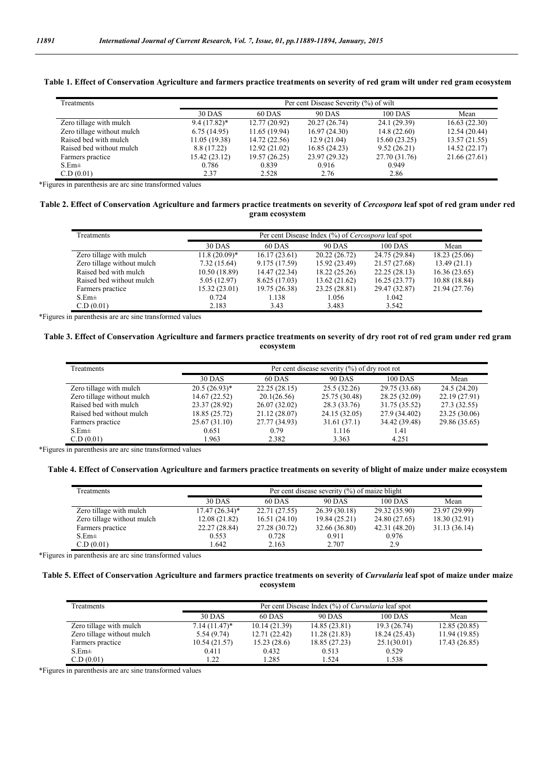| Treatments                 |                | Per cent Disease Severity (%) of wilt |               |                |               |  |  |
|----------------------------|----------------|---------------------------------------|---------------|----------------|---------------|--|--|
|                            | 30 DAS         | 60 DAS                                | <b>90 DAS</b> | <b>100 DAS</b> | Mean          |  |  |
| Zero tillage with mulch    | $9.4(17.82)^*$ | 12.77(20.92)                          | 20.27(26.74)  | 24.1 (29.39)   | 16.63(22.30)  |  |  |
| Zero tillage without mulch | 6.75(14.95)    | 11.65 (19.94)                         | 16.97(24.30)  | 14.8(22.60)    | 12.54 (20.44) |  |  |
| Raised bed with mulch      | 11.05 (19.38)  | 14.72 (22.56)                         | 12.9(21.04)   | 15.60(23.25)   | 13.57 (21.55) |  |  |
| Raised bed without mulch   | 8.8 (17.22)    | 12.92(21.02)                          | 16.85(24.23)  | 9.52(26.21)    | 14.52(22.17)  |  |  |
| Farmers practice           | 15.42(23.12)   | 19.57 (26.25)                         | 23.97 (29.32) | 27.70 (31.76)  | 21.66 (27.61) |  |  |
| $S.Em\pm$                  | 0.786          | 0.839                                 | 0.916         | 0.949          |               |  |  |
| C.D (0.01)                 | 2.37           | 2.528                                 | 2.76          | 2.86           |               |  |  |

#### **Table 1. Effect of Conservation Agriculture and farmers practice treatments on severity of red gram wilt under red gram ecosystem**

\*Figures in parenthesis are arc sine transformed values

#### Table 2. Effect of Conservation Agriculture and farmers practice treatments on severity of *Cercospora* leaf spot of red gram under red **gram ecosystem**

| Treatments                 | Per cent Disease Index (%) of Cercospora leaf spot |               |               |               |               |  |
|----------------------------|----------------------------------------------------|---------------|---------------|---------------|---------------|--|
|                            | <b>30 DAS</b>                                      | 60 DAS        | <b>90 DAS</b> | 100 DAS       | Mean          |  |
| Zero tillage with mulch    | $11.8(20.09)*$                                     | 16.17(23.61)  | 20.22 (26.72) | 24.75 (29.84) | 18.23 (25.06) |  |
| Zero tillage without mulch | 7.32(15.64)                                        | 9.175 (17.59) | 15.92 (23.49) | 21.57 (27.68) | 13.49(21.1)   |  |
| Raised bed with mulch      | 10.50(18.89)                                       | 14.47 (22.34) | 18.22 (25.26) | 22.25(28.13)  | 16.36(23.65)  |  |
| Raised bed without mulch   | 5.05 (12.97)                                       | 8.625(17.03)  | 13.62(21.62)  | 16.25(23.77)  | 10.88 (18.84) |  |
| Farmers practice           | 15.32(23.01)                                       | 19.75 (26.38) | 23.25 (28.81) | 29.47 (32.87) | 21.94 (27.76) |  |
| $S.Em\pm$                  | 0.724                                              | 1.138         | 1.056         | 1.042         |               |  |
| C.D (0.01)                 | 2.183                                              | 3.43          | 3.483         | 3.542         |               |  |

\*Figures in parenthesis are arc sine transformed values

#### **Table 3. Effect of Conservation Agriculture and farmers practice treatments on severity of dry root rot of red gram under red gram ecosystem**

| Treatments                 | Per cent disease severity $(\%)$ of dry root rot |               |               |               |               |  |
|----------------------------|--------------------------------------------------|---------------|---------------|---------------|---------------|--|
|                            | 30 DAS                                           | 60 DAS        | <b>90 DAS</b> | 100 DAS       | Mean          |  |
| Zero tillage with mulch    | $20.5(26.93)^*$                                  | 22.25(28.15)  | 25.5(32.26)   | 29.75 (33.68) | 24.5(24.20)   |  |
| Zero tillage without mulch | 14.67 (22.52)                                    | 20.1(26.56)   | 25.75 (30.48) | 28.25 (32.09) | 22.19 (27.91) |  |
| Raised bed with mulch      | 23.37 (28.92)                                    | 26.07(32.02)  | 28.3 (33.76)  | 31.75 (35.52) | 27.3(32.55)   |  |
| Raised bed without mulch   | 18.85 (25.72)                                    | 21.12 (28.07) | 24.15 (32.05) | 27.9 (34.402) | 23.25 (30.06) |  |
| Farmers practice           | 25.67(31.10)                                     | 27.77 (34.93) | 31.61(37.1)   | 34.42 (39.48) | 29.86 (35.65) |  |
| $S.Em\pm$                  | 0.651                                            | 0.79          | 1.116         | 1.41          |               |  |
| C.D (0.01)                 | 1.963                                            | 2.382         | 3.363         | 4.251         |               |  |

\*Figures in parenthesis are arc sine transformed values

### **Table 4. Effect of Conservation Agriculture and farmers practice treatments on severity of blight of maize under maize ecosystem**

| Treatments                 |                  | Per cent disease severity $(\% )$ of maize blight |               |               |               |  |  |
|----------------------------|------------------|---------------------------------------------------|---------------|---------------|---------------|--|--|
|                            | 30 DAS           | 60 DAS                                            | <b>90 DAS</b> | $100$ DAS     | Mean          |  |  |
| Zero tillage with mulch    | $17.47(26.34)^*$ | 22.71 (27.55)                                     | 26.39(30.18)  | 29.32 (35.90) | 23.97 (29.99) |  |  |
| Zero tillage without mulch | 12.08(21.82)     | 16.51(24.10)                                      | 19.84 (25.21) | 24.80 (27.65) | 18.30 (32.91) |  |  |
| Farmers practice           | 22.27 (28.84)    | 27.28 (30.72)                                     | 32.66 (36.80) | 42.31(48.20)  | 31.13 (36.14) |  |  |
| $S.Em\pm$                  | 0.553            | 0.728                                             | 0.911         | 0.976         |               |  |  |
| C.D(0.01)                  | 1.642            | 2.163                                             | 2.707         | 2.9           |               |  |  |

\*Figures in parenthesis are arc sine transformed values

#### **Table 5. Effect of Conservation Agriculture and farmers practice treatments on severity of** *Curvularia* **leaf spot of maize under maize ecosystem**

| Treatments                 |                 | Per cent Disease Index (%) of <i>Curvularia</i> leaf spot |               |               |               |  |  |
|----------------------------|-----------------|-----------------------------------------------------------|---------------|---------------|---------------|--|--|
|                            | <b>30 DAS</b>   | 100 DAS<br>60 DAS<br><b>90 DAS</b><br>Mean                |               |               |               |  |  |
| Zero tillage with mulch    | $7.14(11.47)^*$ | 10.14(21.39)                                              | 14.85(23.81)  | 19.3 (26.74)  | 12.85(20.85)  |  |  |
| Zero tillage without mulch | 5.54(9.74)      | 12.71 (22.42)                                             | 11.28(21.83)  | 18.24 (25.43) | 11.94 (19.85) |  |  |
| Farmers practice           | 10.54(21.57)    | 15.23(28.6)                                               | 18.85 (27.23) | 25.1(30.01)   | 17.43 (26.85) |  |  |
| $S.Em\pm$                  | 0.411           | 0.432                                                     | 0.513         | 0.529         |               |  |  |
| C.D (0.01)                 | $\cdot$ 22      | 1.285                                                     | 1.524         | 1.538         |               |  |  |

\*Figures in parenthesis are arc sine transformed values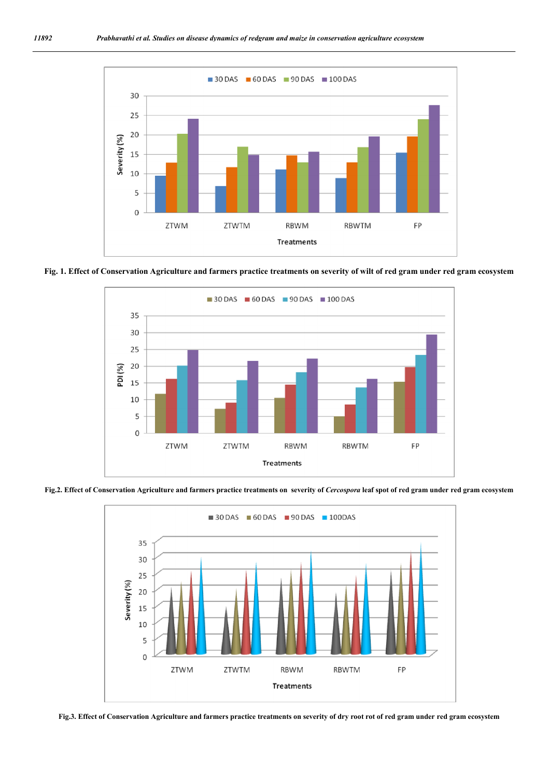

**Fig. 1. Effect of Conservation Agriculture and farmers practice treatments on severity of wilt of red gram under red gram ecosystem**



Fig.2. Effect of Conservation Agriculture and farmers practice treatments on severity of *Cercospora* leaf spot of red gram under red gram ecosystem



**Fig.3. Effect of Conservation Agriculture and farmers practice treatments on severity of dry root rot of red gram under red gram ecosystem**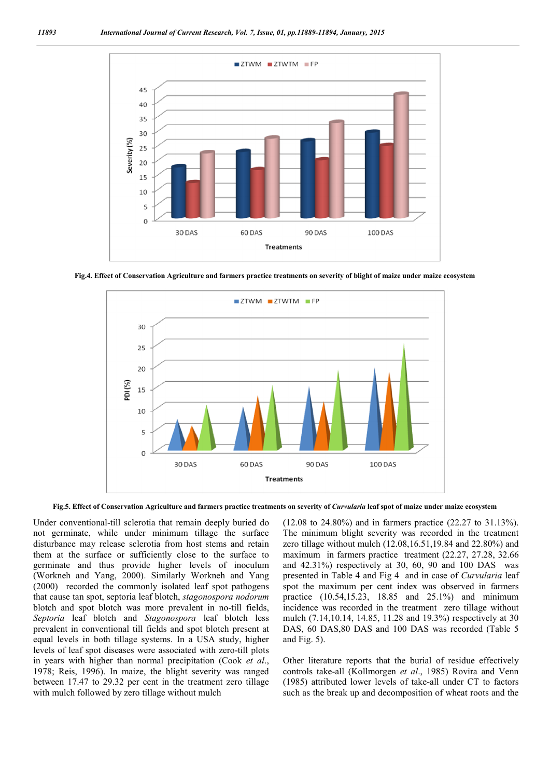

**Fig.4. Effect of Conservation Agriculture and farmers practice treatments on severity of blight of maize under maize ecosystem**



**Fig.5. Effect of Conservation Agriculture and farmers practice treatments on severity of** *Curvularia* **leaf spot of maize under maize ecosystem**

Under conventional-till sclerotia that remain deeply buried do not germinate, while under minimum tillage the surface disturbance may release sclerotia from host stems and retain them at the surface or sufficiently close to the surface to germinate and thus provide higher levels of inoculum (Workneh and Yang, 2000). Similarly Workneh and Yang (2000) recorded the commonly isolated leaf spot pathogens that cause tan spot, septoria leaf blotch, *stagonospora nodorum* blotch and spot blotch was more prevalent in no-till fields, *Septoria* leaf blotch and *Stagonospora* leaf blotch less prevalent in conventional till fields and spot blotch present at equal levels in both tillage systems. In a USA study, higher levels of leaf spot diseases were associated with zero-till plots in years with higher than normal precipitation (Cook *et al*., 1978; Reis, 1996). In maize, the blight severity was ranged between 17.47 to 29.32 per cent in the treatment zero tillage with mulch followed by zero tillage without mulch

(12.08 to 24.80%) and in farmers practice (22.27 to 31.13%). The minimum blight severity was recorded in the treatment zero tillage without mulch (12.08,16.51,19.84 and 22.80%) and maximum in farmers practice treatment (22.27, 27.28, 32.66 and 42.31%) respectively at 30, 60, 90 and 100 DAS was presented in Table 4 and Fig 4 and in case of *Curvularia* leaf spot the maximum per cent index was observed in farmers practice (10.54,15.23, 18.85 and 25.1%) and minimum incidence was recorded in the treatment zero tillage without mulch (7.14,10.14, 14.85, 11.28 and 19.3%) respectively at 30 DAS, 60 DAS,80 DAS and 100 DAS was recorded (Table 5 and Fig. 5).

Other literature reports that the burial of residue effectively controls take-all (Kollmorgen *et al*., 1985) Rovira and Venn (1985) attributed lower levels of take-all under CT to factors such as the break up and decomposition of wheat roots and the